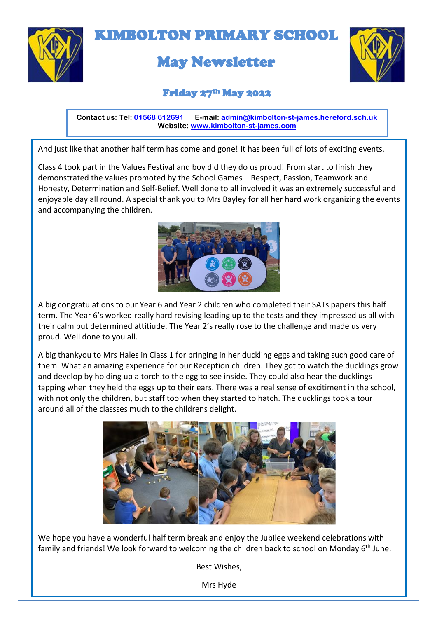

# KIMBOLTON PRIMARY SCHOOL

## May Newsletter



#### Friday 27th May 2022

 **Contact us: Tel: 01568 612691 E-mail: [admin@kimbolton-st-james.hereford.sch.uk](mailto:admin@kimbolton-st-james.hereford.sch.uk) Website: [www.kimbolton-st-james.com](http://www.kimbolton-st-james.com/)**

And just like that another half term has come and gone! It has been full of lots of exciting events.

Class 4 took part in the Values Festival and boy did they do us proud! From start to finish they demonstrated the values promoted by the School Games – Respect, Passion, Teamwork and Honesty, Determination and Self-Belief. Well done to all involved it was an extremely successful and enjoyable day all round. A special thank you to Mrs Bayley for all her hard work organizing the events and accompanying the children.



A big congratulations to our Year 6 and Year 2 children who completed their SATs papers this half term. The Year 6's worked really hard revising leading up to the tests and they impressed us all with their calm but determined attitiude. The Year 2's really rose to the challenge and made us very proud. Well done to you all.

A big thankyou to Mrs Hales in Class 1 for bringing in her duckling eggs and taking such good care of them. What an amazing experience for our Reception children. They got to watch the ducklings grow and develop by holding up a torch to the egg to see inside. They could also hear the ducklings tapping when they held the eggs up to their ears. There was a real sense of excitiment in the school, with not only the children, but staff too when they started to hatch. The ducklings took a tour around all of the classses much to the childrens delight.



We hope you have a wonderful half term break and enjoy the Jubilee weekend celebrations with family and friends! We look forward to welcoming the children back to school on Monday 6<sup>th</sup> June.

Best Wishes,

Mrs Hyde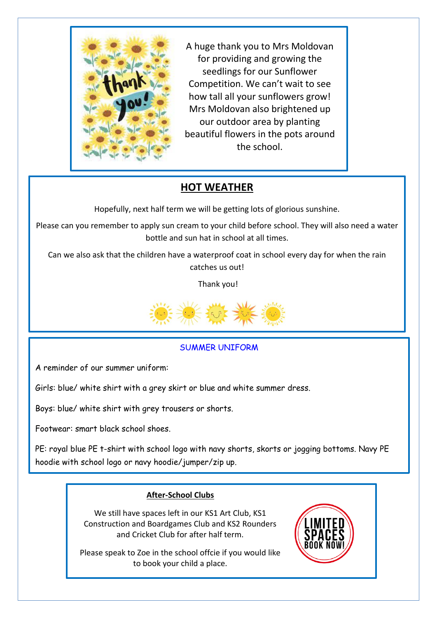

A huge thank you to Mrs Moldovan for providing and growing the seedlings for our Sunflower Competition. We can't wait to see how tall all your sunflowers grow! Mrs Moldovan also brightened up our outdoor area by planting beautiful flowers in the pots around the school.

### **HOT WEATHER**

Hopefully, next half term we will be getting lots of glorious sunshine.

Please can you remember to apply sun cream to your child before school. They will also need a water bottle and sun hat in school at all times.

Can we also ask that the children have a waterproof coat in school every day for when the rain catches us out!

Thank you!



#### SUMMER UNIFORM

A reminder of our summer uniform:

Girls: blue/ white shirt with a grey skirt or blue and white summer dress.

Boys: blue/ white shirt with grey trousers or shorts.

Footwear: smart black school shoes.

l.

PE: royal blue PE t-shirt with school logo with navy shorts, skorts or jogging bottoms. Navy PE hoodie with school logo or navy hoodie/jumper/zip up.

#### **After-School Clubs**

We still have spaces left in our KS1 Art Club, KS1 Construction and Boardgames Club and KS2 Rounders and Cricket Club for after half term.

Please speak to Zoe in the school offcie if you would like to book your child a place.